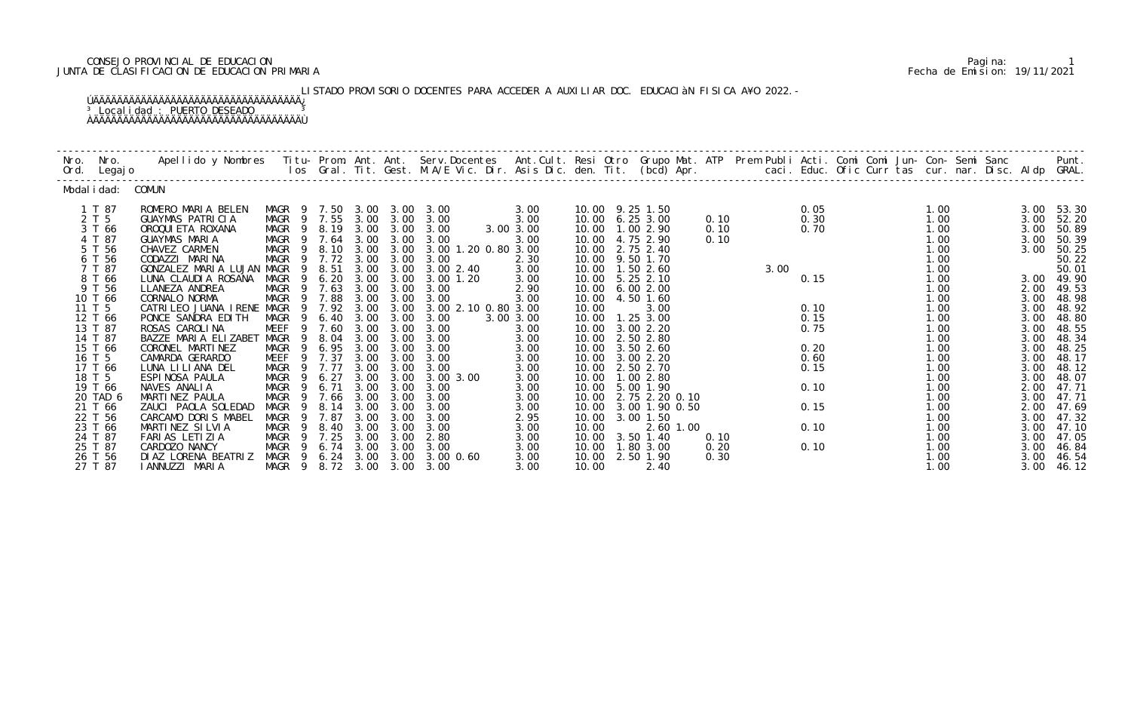## CONSEJO PROVINCIAL DE EDUCACION Pagina: 1 JUNTA DE CLASIFICACION DE EDUCACION PRIMARIA Fecha de Emision: 19/11/2021

LISTADO PROVISORIO DOCENTES PARA ACCEDER A AUXILIAR DOC. EDUCACIÀN FISICA A¥O 2022.- ÚÄÄÄÄÄÄÄÄÄÄÄÄÄÄÄÄÄÄÄÄÄÄÄÄÄÄÄÄÄÄÄÄÄÄÄ¿ <sup>3</sup> Localidad : PUERTO DESEADO <sup>3</sup>

ÀÄÄÄÄÄÄÄÄÄÄÄÄÄÄÄÄÄÄÄÄÄÄÄÄÄÄÄÄÄÄÄÄÄÄÄÙ

| Nro. | Nro.<br>Ord. Legajo           | Apellido y Nombres - Titu- Prom. Ant. Ant. Serv.Docentes - Ant.Cult. Resi Otro Grupo Mat. ATP - Prem Publi Acti. Comi Comi Jun- Con- Semi Sanc - - - - Punt.<br>Ios Gral. Tit. Gest. M.A/E Vic. Dir. Asis Dic. den. Tit. (bcd) Ap |                                                          |                            |                      |                           |                                           |                      |                |                                                         |              |      |              |  |                      |                      |                         |
|------|-------------------------------|-----------------------------------------------------------------------------------------------------------------------------------------------------------------------------------------------------------------------------------|----------------------------------------------------------|----------------------------|----------------------|---------------------------|-------------------------------------------|----------------------|----------------|---------------------------------------------------------|--------------|------|--------------|--|----------------------|----------------------|-------------------------|
|      | Modal i dad: COMUN            |                                                                                                                                                                                                                                   |                                                          |                            |                      |                           |                                           |                      |                |                                                         |              |      |              |  |                      |                      |                         |
|      | 1 T 87<br>2 T 5               | ROMERO MARIA BELEN<br><b>GUAYMAS PATRICIA</b>                                                                                                                                                                                     | MAGR 9 7.50 3.00 3.00 3.00<br>MAGR 9 7.55 3.00 3.00 3.00 |                            |                      |                           |                                           | 3.00<br>3.00         |                | 10.00 9.25 1.50<br>10.00 6.25 3.00                      | 0.10         |      | 0.05<br>0.30 |  | 1.00<br>1.00         | 3.00                 | 3.00 53.30<br>52.20     |
|      | 3 T 66<br>4 T 87<br>5 T 56    | OROQUI ETA ROXANA<br><b>GUAYMAS MARIA</b><br>CHAVEZ CARMEN                                                                                                                                                                        | MAGR 9 8.19 3.00 3.00 3.00<br>MAGR 9 7.64 3.00 3.00 3.00 |                            |                      |                           | MAGR 9 8.10 3.00 3.00 3.00 1.20 0.80 3.00 | 3.00 3.00<br>3.00    |                | 10.00  1.00  2.90<br>10.00 4.75 2.90<br>10.00 2.75 2.40 | 0.10<br>0.10 |      | 0.70         |  | 1.00<br>1.00<br>1.00 | 3.00<br>3.00<br>3.00 | 50.89<br>50.39          |
|      | 6 T 56<br>7 T 87              | CODAZZI MARINA<br>GONZALEZ MARIA LUJAN MAGR                                                                                                                                                                                       | MAGR 9 7.72 3.00 3.00<br>9                               | 8.51                       |                      |                           | 3.00<br>3.00 3.00 3.00 2.40               | 2.30<br>3.00         |                | 10.00 9.50 1.70<br>10.00  1.50  2.60                    |              | 3.00 |              |  | 1.00<br>1.00         |                      | 50.25<br>50.22<br>50.01 |
|      | 8 T 66<br>9 T 56<br>10 T 66   | LUNA CLAUDIA ROSANA<br>LLANEZA ANDREA<br>CORNALO NORMA                                                                                                                                                                            | MAGR<br>- 9<br>MAGR 9 7.63<br>MAGR 9 7.88                | 6.20                       | 3.00                 | 3.00<br>$3.00 \quad 3.00$ | $3.00$ $1.20$<br>3.00<br>3.00 3.00 3.00   | 3.00<br>2.90<br>3.00 |                | 10.00 5.25 2.10<br>10.00 6.00 2.00<br>10.00  4.50  1.60 |              |      | 0.15         |  | 1.00<br>1.00<br>1.00 | 3.00<br>2.00<br>3.00 | 49.90<br>49.53<br>48.98 |
|      | 11 T 5<br>12 T 66             | CATRILEO JUANA IRENE MAGR<br>PONCE SANDRA EDITH                                                                                                                                                                                   | MAGR<br>$\overline{9}$                                   | 9 7.92<br>$6.40\quad 3.00$ | 3.00                 | 3.00                      | 3.00 3.00 2.10 0.80 3.00<br>3.00          | 3.00 3.00            | 10.00          | 3.00<br>10.00  1.25  3.00                               |              |      | 0.10<br>0.15 |  | 1.00<br>1.00         | 3.00<br>3.00         | 48.92<br>48.80          |
|      | 13 T 87<br>14 T 87<br>15 T 66 | ROSAS CAROLINA<br>BAZZE MARIA ELIZABET MAGR<br>CORONEL MARTINEZ                                                                                                                                                                   | MEEF<br>- 9<br>MAGR<br>$\overline{9}$                    | 9 7.60<br>8.04<br>6.95     | 3.00<br>3.00<br>3.00 | 3.00<br>3.00<br>3.00      | 3.00<br>3.00<br>3.00                      | 3.00<br>3.00<br>3.00 |                | 10.00 3.00 2.20<br>10.00 2.50 2.80<br>10.00 3.50 2.60   |              |      | 0.75<br>0.20 |  | 1.00<br>1.00<br>1.00 | 3.00<br>3.00<br>3.00 | 48.55<br>48.34<br>48.25 |
|      | 16 T 5<br>17 T 66             | CAMARDA GERARDO<br>LUNA LI LI ANA DEL                                                                                                                                                                                             | MEEF 9 7.37<br>MAGR 9 7.77                               |                            | 3.00<br>3.00         | 3.00<br>3.00              | 3.00<br>3.00                              | 3.00<br>3.00         | 10.00          | 3.00 2.20<br>10.00 2.50 2.70                            |              |      | 0.60<br>0.15 |  | 1.00<br>1.00         | 3.00<br>3.00         | 48.17<br>48.12          |
|      | 18 T 5<br>19 T 66<br>20 TAD 6 | ESPINOSA PAULA<br>NAVES ANALIA<br>MARTINEZ PAULA                                                                                                                                                                                  | MAGR 9 6.27<br>- 9<br>MAGR<br>MAGR<br>9                  | 6.71<br>7.66               | 3.00<br>3.00         | 3.00<br>3.00              | 3.00 3.00 3.00 3.00<br>3.00<br>3.00       | 3.00<br>3.00<br>3.00 | 10.00<br>10.00 | 10.00  1.00  2.80<br>5.00 1.90<br>2.75 2.20 0.10        |              |      | 0.10         |  | 1.00<br>1.00<br>1.00 | 3.00<br>2.00<br>3.00 | 48.07<br>47.71<br>47.71 |
|      | 21 T 66<br>22 T 56            | ZAUCI PAOLA SOLEDAD<br>CARCAMO DORIS MABEL                                                                                                                                                                                        | MAGR<br>- 9<br>MAGR<br>9                                 | 8.14<br>7.87               | 3.00<br>3.00         | 3.00<br>3.00              | 3.00<br>3.00                              | 3.00<br>2.95         |                | 10.00 3.00 1.90 0.50<br>10.00 3.00 1.50                 |              |      | 0.15         |  | 1.00<br>1.00         | 2.00<br>3.00         | 47.69<br>47.32          |
|      | 23 T 66<br>24 T 87<br>25 T 87 | MARTINEZ SILVIA<br>FARIAS LETIZIA<br>CARDOZO NANCY                                                                                                                                                                                | MAGR<br>9<br>MAGR 9 7.25<br>MAGR                         | 8.40<br>9 6.74 3.00        | 3.00<br>3.00         | 3.00<br>3.00<br>3.00      | 3.00<br>2.80<br>3.00                      | 3.00<br>3.00<br>3.00 | 10.00          | 2.60 1.00<br>10.00 3.50 1.40<br>10.00  1.80  3.00       | 0.10<br>0.20 |      | 0.10<br>0.10 |  | 1.00<br>1.00<br>1.00 | 3.00<br>3.00<br>3.00 | 47.10<br>47.05<br>46.84 |
|      | 26 T 56<br>27 T 87            | DI AZ LORENA BEATRIZ<br>I ANNUZZI MARIA                                                                                                                                                                                           | MAGR 9 8.72 3.00 3.00 3.00                               |                            |                      |                           | MAGR 9 6.24 3.00 3.00 3.00 0.60           | 3.00<br>3.00         | 10.00          | 10.00 2.50 1.90<br>2.40                                 | 0.30         |      |              |  | 1.00<br>1.00         | 3.00<br>3.00         | 46.54<br>46.12          |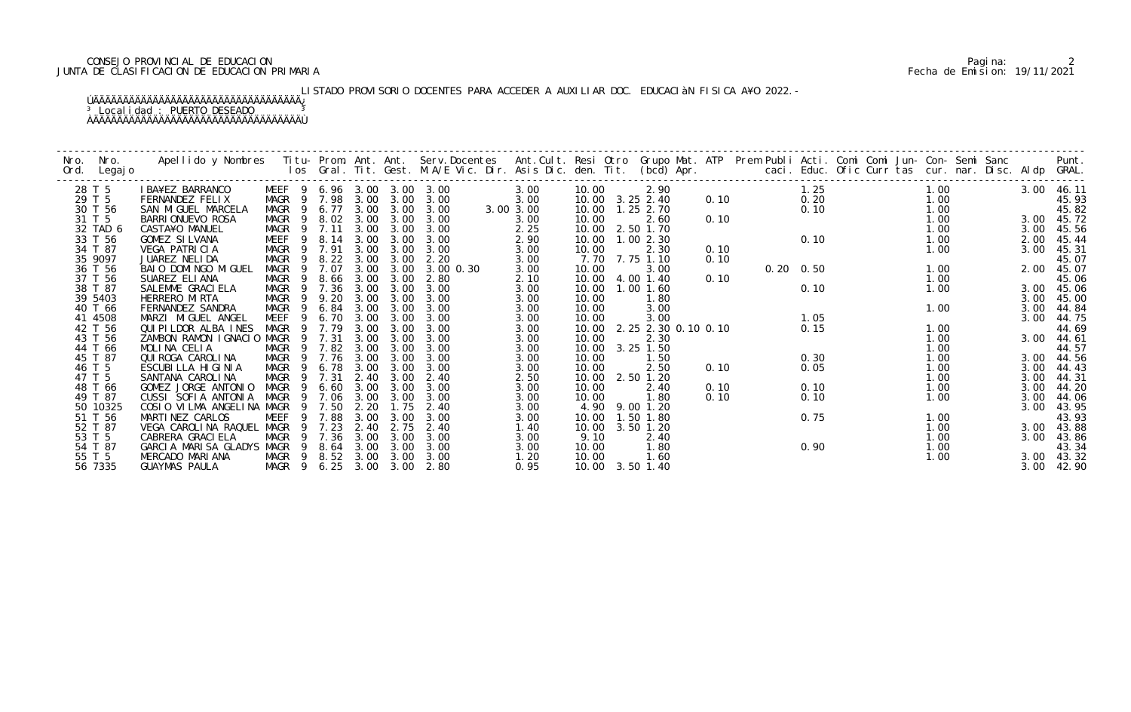## CONSEJO PROVINCIAL DE EDUCACION Pagina: 2 JUNTA DE CLASIFICACION DE EDUCACION PRIMARIA Fecha de Emision: 19/11/2021

# LISTADO PROVISORIO DOCENTES PARA ACCEDER A AUXILIAR DOC. EDUCACIàN FISICA A¥O 2022.-

| Nro. | Nro.<br>Ord. Legajo |                                            |                            |     |        |           |                  |           |           |       |                           |      |  |                   |  |      |      |            |
|------|---------------------|--------------------------------------------|----------------------------|-----|--------|-----------|------------------|-----------|-----------|-------|---------------------------|------|--|-------------------|--|------|------|------------|
|      | 28 T 5              | I BA¥EZ BARRANCO                           | MEEF 9 6.96 3.00 3.00 3.00 |     |        |           |                  |           | 3.00      | 10.00 | 2.90                      |      |  | 1.25              |  | 1.00 |      | 3.00 46.11 |
|      | 29 T 5              | FERNANDEZ FELIX                            | MAGR 9 7.98 3.00 3.00 3.00 |     |        |           |                  |           | 3.00      |       | 10.00 3.25 2.40           | 0.10 |  | 0.20              |  | 1.00 |      | 45.93      |
|      | 30 T 56             | SAN MIGUEL MARCELA                         | MAGR 9 6.77 3.00 3.00 3.00 |     |        |           |                  |           | 3.00 3.00 |       | 10.00  1.25  2.70         |      |  | 0.10              |  | 1.00 |      | 45.82      |
|      | 31 T 5              | <b>BARRI ONUEVO ROSA</b>                   | MAGR                       |     |        |           | 9 8.02 3.00 3.00 | 3.00      | 3.00      | 10.00 | 2.60                      | 0.10 |  |                   |  | 1.00 |      | 3.00 45.72 |
|      | 32 TAD 6            | CASTA¥O MANUEL                             | MAGR 9 7.11                |     |        | 3.00      | 3.00             | 3.00      | 2.25      | 10.00 | 2.50 1.70                 |      |  |                   |  | 1.00 | 3.00 | 45.56      |
|      | 33 T 56             | GOMEZ SILVANA                              | MEEF 9 8.14 3.00           |     |        |           | 3.00             | 3.00      | 2.90      |       | 10.00 1.00 2.30           |      |  | 0.10              |  | 1.00 | 2.00 | 45.44      |
|      | 34 T 87             | VEGA PATRICIA                              | MAGR 9 7.91                |     |        | 3.00      | 3.00             | 3.00      | 3.00      | 10.00 | 2.30                      | 0.10 |  |                   |  | 1.00 | 3.00 | 45.31      |
|      | 35 9097             | JUAREZ NELIDA                              | MAGR                       | - 9 |        | 8.22 3.00 | 3.00             | 2.20      | 3.00      |       | 7.70 7.75 1.10            | 0.10 |  |                   |  |      |      | 45.07      |
|      | 36 T 56             | BAIO DOMINGO MIGUEL                        | MAGR                       | 9   | 7.07   | 3.00      | 3.00             | 3.00 0.30 | 3.00      | 10.00 | 3.00                      |      |  | $0.20 \quad 0.50$ |  | 1.00 | 2.00 | 45.07      |
|      | 37 T 56             | SUAREZ ELIANA                              | MAGR                       | - 9 | 8.66   | 3.00      | 3.00             | 2.80      | 2.10      |       | 10.00 4.00 1.40           | 0.10 |  |                   |  | 1.00 |      | 45.06      |
|      | 38 T 87             | SALEMME GRACIELA                           | MAGR 9 7.36                |     |        | 3.00      | 3.00             | 3.00      | 3.00      |       | 10.00  1.00  1.60         |      |  | 0.10              |  | 1.00 |      | 3.00 45.06 |
|      | 39 5403             | HERRERO MIRTA                              | MAGR                       |     | 9 9.20 | 3.00      | 3.00             | 3.00      | 3.00      | 10.00 | 1.80                      |      |  |                   |  |      | 3.00 | 45.00      |
|      | 40 T 66             | FERNANDEZ SANDRA                           | MAGR 9                     |     | 6.84   | 3.00      | 3.00             | 3.00      | 3.00      | 10.00 | 3.00                      |      |  |                   |  | 1.00 | 3.00 | 44.84      |
|      | 41 4508             | MARZI MIGUEL ANGEL                         | MEEF 9 6.70                |     |        | 3.00      | 3.00             | 3.00      | 3.00      | 10.00 | 3.00                      |      |  | 1.05              |  |      | 3.00 | 44.75      |
|      | 42 T 56             | QUIPILDOR ALBA INES                        | MAGR                       |     | 9 7.79 | 3.00      | 3.00             | 3.00      | 3.00      |       | 10.00 2.25 2.30 0.10 0.10 |      |  | 0.15              |  | 1.00 |      | 44.69      |
|      | 43 T 56             | ZAMBON RAMON IGNACIO MAGR                  |                            | -9  | 7.31   | 3.00      | 3.00             | 3.00      | 3.00      | 10.00 | 2.30                      |      |  |                   |  | 1.00 | 3.00 | 44.61      |
|      | 44 T 66             | MOLINA CELIA                               | MAGR 9 7.82 3.00           |     |        |           | 3.00             | 3.00      | 3.00      | 10.00 | $3.25$ 1.50               |      |  |                   |  | 1.00 |      | 44.57      |
|      | 45 T 87             | QUI ROGA CAROLI NA                         | MAGR 9 7.76                |     |        | 3.00      | 3.00             | 3.00      | 3.00      | 10.00 | 1.50                      |      |  | 0.30              |  | 1.00 |      | 3.00 44.56 |
|      | 46 T 5              | ESCUBILLA HIGINIA                          | MAGR 9 6.78                |     |        | 3.00      | 3.00             | 3.00      | 3.00      | 10.00 | 2.50                      | 0.10 |  | 0.05              |  | 1.00 | 3.00 | 44.43      |
|      | 47 T 5              | SANTANA CAROLINA                           | MAGR                       |     | 9 7.31 | 2.40      | 3.00             | 2.40      | 2.50      | 10.00 | 2.50 1.20                 |      |  |                   |  | 1.00 | 3.00 | 44.31      |
|      | 48 T 66             | GOMEZ JORGE ANTONIO                        | MAGR 9                     |     | 6.60   | 3.00      | 3.00             | 3.00      | 3.00      | 10.00 | 2.40                      | 0.10 |  | 0.10              |  | 1.00 | 3.00 | 44.20      |
|      | 49 T 87             | CUSSI SOFIA ANTONIA                        | MAGR                       |     | 9 7.06 | 3.00      | 3.00             | 3.00      | 3.00      | 10.00 | 1.80                      | 0.10 |  | 0.10              |  | 1.00 | 3.00 | 44.06      |
|      | 50 10325            | COSIO VILMA ANGELINA MAGR                  |                            |     | 9 7.50 | 2.20      | 1.75             | 2.40      | 3.00      |       | 4.90 9.00 1.20            |      |  |                   |  |      | 3.00 | 43.95      |
|      | 51 T 56             | MARTINEZ CARLOS                            | MEEF                       | 9   | 7.88   | 3.00      | 3.00             | 3.00      | 3.00      | 10.00 | 1.50 1.80                 |      |  | 0.75              |  | 1.00 |      | 43.93      |
|      | 52 T 87             | VEGA CAROLINA RAQUEL MAGR                  |                            |     | 9 7.23 | 2.40      | 2.75             | 2.40      | 1.40      | 10.00 | 3.50 1.20                 |      |  |                   |  | 1.00 |      | 3.00 43.88 |
|      | 53 T 5              | CABRERA GRACI ELA                          | MAGR 9 7.36                |     |        | 3.00      | 3.00             | 3.00      | 3.00      | 9.10  | 2.40                      |      |  |                   |  | 1.00 |      | 3.00 43.86 |
|      | 54 T 87             | GARCIA MARISA GLADYS MAGR 9 8.64 3.00 3.00 |                            |     |        |           |                  | 3.00      | 3.00      | 10.00 | 1.80                      |      |  | 0.90              |  | 1.00 |      | 43.34      |
|      | 55 T 5              | MERCADO MARIANA                            | MAGR 9 8.52 3.00           |     |        |           | 3.00             | 3.00      | 1.20      | 10.00 | 1.60                      |      |  |                   |  | 1.00 |      | 3.00 43.32 |
|      | 56 7335             | GUAYMAS PAULA                              | MAGR 9 6.25 3.00 3.00 2.80 |     |        |           |                  |           | 0.95      |       | 10.00 3.50 1.40           |      |  |                   |  |      |      | 3.00 42.90 |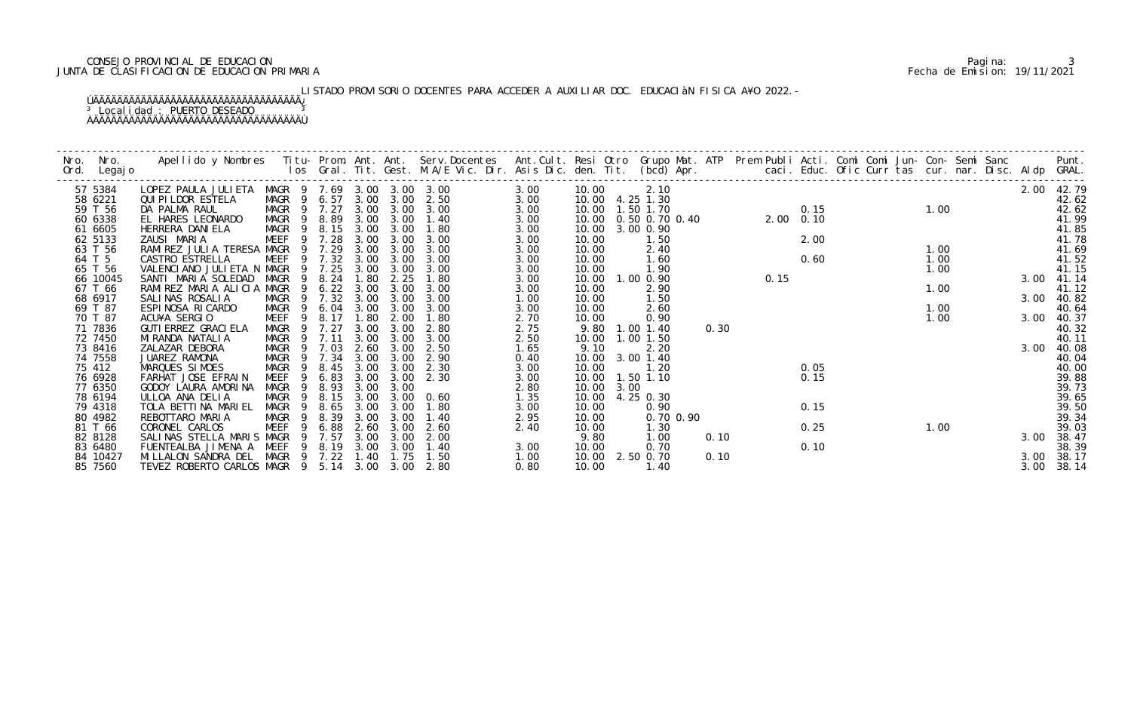## CONSEJO PROVINCIAL DE EDUCACION Pagina: 3 JUNTA DE CLASIFICACION DE EDUCACION PRIMARIA Fecha de Emision: 19/11/2021

# LISTADO PROVISORIO DOCENTES PARA ACCEDER A AUXILIAR DOC. EDUCACIÀN FISICA A¥O 2022.-

| Nro. | Nro.<br>Ord. Legajo | Apellido y Nombres Iitu-Prom. Ant. Ant. Serv.Docentes Ant.Cult. Resi Otro Grupo Mat. ATP Prem Publi Acti. Comi Comi Jun-Con-Semi Sanc Punt.<br>Ios Gral. Tit. Gest. M.A/E Vic. Dir. Asis Dic. den. Tit. (bcd) Apr. |                            |                        |      |                |                |      |       |      |                                     |      |                  |      |             |  |      |  |      |            |
|------|---------------------|--------------------------------------------------------------------------------------------------------------------------------------------------------------------------------------------------------------------|----------------------------|------------------------|------|----------------|----------------|------|-------|------|-------------------------------------|------|------------------|------|-------------|--|------|--|------|------------|
|      | 57 5384             | LOPEZ PAULA JULIETA MAGR 9 7.69 3.00 3.00 3.00                                                                                                                                                                     |                            |                        |      |                |                | 3.00 | 10.00 |      | 2.10                                |      |                  |      |             |  |      |  |      | 2.00 42.79 |
|      | 58 6221             | <b>QUI PI LDOR ESTELA</b>                                                                                                                                                                                          | MAGR 9 6.57 3.00 3.00 2.50 |                        |      |                |                | 3.00 |       |      | 10.00 4.25 1.30                     |      |                  |      |             |  |      |  |      | 42.62      |
|      | 59 T 56             | DA PALMA RAUL                                                                                                                                                                                                      | MAGR 9 7.27                |                        |      |                | 3.00 3.00 3.00 | 3.00 |       |      | 10.00  1.50  1.70                   |      |                  | 0.15 | $0.15$ 1.00 |  |      |  |      | 42.62      |
|      | 60 6338             | EL HARES LEONARDO                                                                                                                                                                                                  | MAGR 9 8.89                |                        |      | 3.00 3.00      | 1.40           | 3.00 |       |      | 10.00  0.50  0.70  0.40  2.00  0.10 |      |                  |      |             |  |      |  |      | 41.99      |
|      | 61 6605             | HERRERA DANI ELA                                                                                                                                                                                                   | MAGR 9                     |                        |      | 8.15 3.00 3.00 | 1.80           | 3.00 | 10.00 |      | 3.00 0.90                           |      |                  |      |             |  |      |  |      | 41.85      |
|      | 62 5133             | ZAUSI MARIA                                                                                                                                                                                                        | MEEF                       | 9 7.28                 | 3.00 | 3.00           | 3.00           | 3.00 | 10.00 |      | 1.50                                |      |                  |      |             |  |      |  |      | 41.78      |
|      | 63 T 56             | RAMIREZ JULIA TERESA MAGR 9 7.29                                                                                                                                                                                   |                            |                        | 3.00 | 3.00           | 3.00           | 3.00 | 10.00 |      | 2.40                                |      | $2.00$<br>$0.60$ |      |             |  | 1.00 |  |      | 41.69      |
|      | 64 T 5              | CASTRO ESTRELLA                                                                                                                                                                                                    | MEEF                       | 9 7.32                 | 3.00 | 3.00           | 3.00           | 3.00 | 10.00 |      | 1.60                                |      |                  |      |             |  | 1.00 |  |      | 41.52      |
|      | 65 T 56             | VALENCIANO JULIETA N MAGR                                                                                                                                                                                          |                            | 9 7.25                 | 3.00 | 3.00           | 3.00           | 3.00 | 10.00 |      | 1.90                                |      |                  |      |             |  | 1.00 |  |      | 41.15      |
|      | 66 10045            | SANTI MARIA SOLEDAD                                                                                                                                                                                                | MAGR                       | 8.24                   | 1.80 | 2.25           | 1.80           | 3.00 | 10.00 |      | 1.00 0.90                           |      | 0.15             |      |             |  |      |  | 3.00 | 41.14      |
|      | 67 T 66             | RAMIREZ MARIA ALICIA MAGR                                                                                                                                                                                          | - 9                        | 6.22                   | 3.00 | 3.00           | 3.00           | 3.00 | 10.00 |      | 2.90                                |      |                  |      |             |  | 1.00 |  |      | 41.12      |
|      | 68 6917             | SALINAS ROSALIA                                                                                                                                                                                                    | MAGR 9 7.32                |                        | 3.00 | 3.00           | 3.00           | 1.00 | 10.00 |      | 1.50                                |      |                  |      |             |  |      |  | 3.00 | 40.82      |
|      | 69 T 87             | ESPINOSA RICARDO                                                                                                                                                                                                   | MAGR 9                     | 6.04                   | 3.00 | 3.00           | 3.00           | 3.00 | 10.00 |      | 2.60                                |      |                  |      |             |  | 1.00 |  |      | 40.64      |
|      | 70 T 87             | ACU¥A SERGIO                                                                                                                                                                                                       | MEEF<br>- 9                | 8.17                   | 1.80 | 2.00           | 1.80           | 2.70 | 10.00 |      | 0.90                                |      |                  |      |             |  | 1.00 |  |      | 3.00 40.37 |
|      | 71 7836             | GUTI ERREZ GRACI ELA                                                                                                                                                                                               | MAGR 9 7.27                |                        | 3.00 | 3.00           | 2.80           | 2.75 | 9.80  |      | 1.00 1.40                           | 0.30 |                  |      |             |  |      |  |      | 40.32      |
|      | 72 7450             | MI RANDA NATALI A                                                                                                                                                                                                  | MAGR 9 7.11                |                        | 3.00 | 3.00           | 3.00           | 2.50 | 10.00 |      | $1.00$ $1.50$                       |      |                  |      |             |  |      |  |      | 40.11      |
|      | 73 8416             | ZALAZAR DEBORA                                                                                                                                                                                                     | MAGR<br>$\overline{9}$     | 7.03                   |      | 2.60 3.00      | 2.50           | 1.65 | 9.10  |      | 2.20                                |      |                  |      |             |  |      |  | 3.00 | 40.08      |
|      | 74 7558             | JUAREZ RAMONA                                                                                                                                                                                                      | MAGR 9                     | 7.34                   | 3.00 | 3.00           | 2.90           | 0.40 | 10.00 |      | $3.00$ 1.40                         |      |                  |      |             |  |      |  |      | 40.04      |
|      | 75 412              | MARQUES SIMOES                                                                                                                                                                                                     | MAGR<br>$\overline{9}$     | 8.45                   | 3.00 | 3.00           | 2.30           | 3.00 | 10.00 |      | 1.20                                |      |                  | 0.05 |             |  |      |  |      | 40.00      |
|      | 76 6928             | FARHAT JOSE EFRAIN                                                                                                                                                                                                 | MEEF                       | 6.83<br>-9             |      | 3.00 3.00      | 2.30           | 3.00 |       |      | 10.00  1.50  1.10                   |      |                  | 0.15 |             |  |      |  |      | 39.88      |
|      | 77 6350             | GODOY LAURA AMORINA                                                                                                                                                                                                | MAGR<br>- 9                | 8.93                   | 3.00 | 3.00           |                | 2.80 | 10.00 | 3.00 |                                     |      |                  |      |             |  |      |  |      | 39.73      |
|      | 78 6194             | ULLOA ANA DELIA                                                                                                                                                                                                    | MAGR 9                     | 8.15                   | 3.00 | 3.00           | 0.60           | 1.35 | 10.00 |      | 4.25 0.30                           |      |                  |      |             |  |      |  |      | 39.65      |
|      | 79 4318             | TOLA BETTINA MARIEL                                                                                                                                                                                                | MAGR 9                     | 8.65                   | 3.00 | 3.00           | 1.80           | 3.00 | 10.00 |      | 0.90                                |      |                  | 0.15 |             |  |      |  |      | 39.50      |
|      | 80 4982             | REBOTTARO MARIA                                                                                                                                                                                                    | MAGR 9 8.39                |                        | 3.00 | 3.00           | 1.40           | 2.95 | 10.00 |      | 0.70 0.90                           |      |                  |      |             |  |      |  |      | 39.34      |
|      | 81 T 66             | CORONEL CARLOS                                                                                                                                                                                                     | MEEF <sub>9</sub>          | 6.88                   | 2.60 | 3.00           | 2.60           | 2.40 | 10.00 |      | 1.30                                |      |                  | 0.25 |             |  | 1.00 |  |      | 39.03      |
|      | 82 8128             | SALINAS STELLA MARIS MAGR                                                                                                                                                                                          | - 9                        | 7.57                   | 3.00 | 3.00           | 2.00           |      | 9.80  |      | 1.00                                | 0.10 |                  |      |             |  |      |  | 3.00 | 38.47      |
|      | 83 6480             | FUENTEALBA JIMENA A MEEF                                                                                                                                                                                           |                            | 8.19<br>$\overline{9}$ |      | 3.00 3.00      | 1.40           | 3.00 | 10.00 |      | 0.70                                |      |                  | 0.10 |             |  |      |  |      | 38.39      |
|      | 84 10427            | MILLALON SANDRA DEL MAGR 9 7.22                                                                                                                                                                                    |                            |                        |      | $1.40$ $1.75$  | 1.50           | 1.00 |       |      | 10.00 2.50 0.70                     | 0.10 |                  |      |             |  |      |  | 3.00 | 38.17      |
|      | 85 7560             | TEVEZ ROBERTO CARLOS MAGR 9 5.14 3.00 3.00 2.80                                                                                                                                                                    |                            |                        |      |                |                | 0.80 | 10.00 |      | 1.40                                |      |                  |      |             |  |      |  | 3.00 | 38.14      |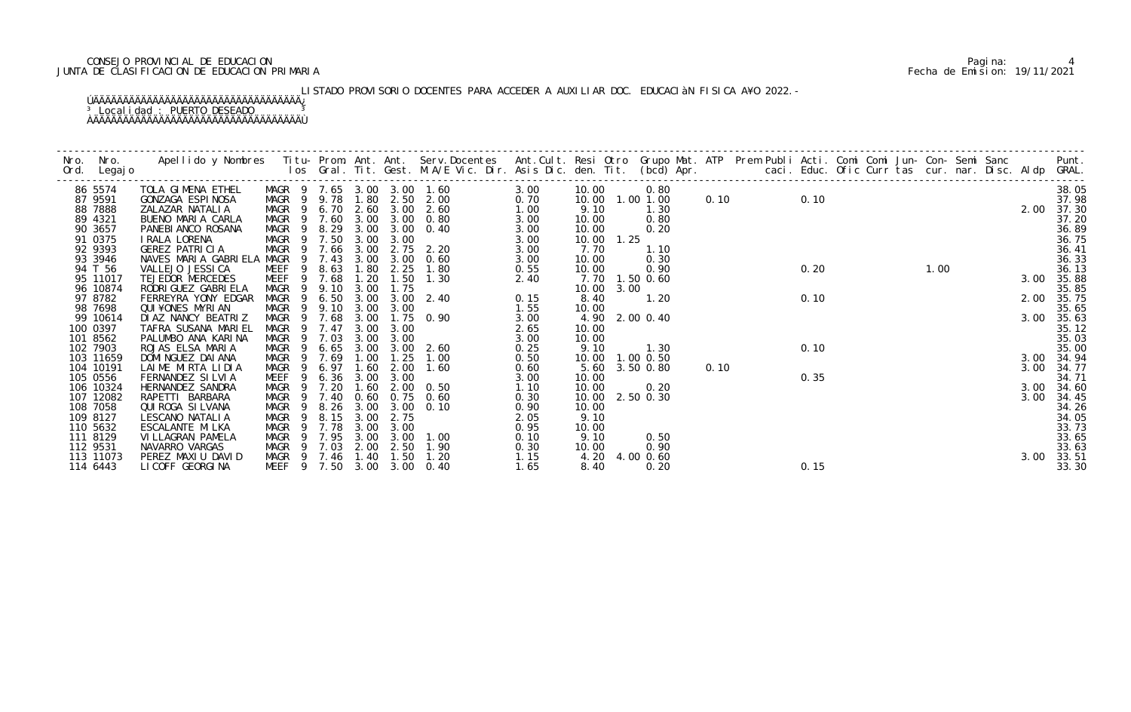## CONSEJO PROVINCIAL DE EDUCACION Pagina: 4 JUNTA DE CLASIFICACION DE EDUCACION PRIMARIA Fecha de Emision: 19/11/2021

# LISTADO PROVISORIO DOCENTES PARA ACCEDER A AUXILIAR DOC. EDUCACIÀN FISICA A¥O 2022.-

| Nro.     | Nro.<br>Ord. Legajo   | Apellido y Nombres - Titu- Prom. Ant. Ant. Serv.Docentes - Ant.Cult. Resi Otro Grupo Mat. ATP Prem Publi Acti. Comi Comi Jun- Con- Semi Sanc - - Punt.<br>Ios Gral. Tit. Gest. M.A/E Vic. Dir. Asis Dic. den. Tit. (bcd) Apr. - - |                           |                |              |      |                   |                                                          |              |                |            |                   |      |      |      |  |      |  |      |                |
|----------|-----------------------|-----------------------------------------------------------------------------------------------------------------------------------------------------------------------------------------------------------------------------------|---------------------------|----------------|--------------|------|-------------------|----------------------------------------------------------|--------------|----------------|------------|-------------------|------|------|------|--|------|--|------|----------------|
|          | 86 5574               | TOLA GIMENA ETHEL                                                                                                                                                                                                                 |                           |                |              |      |                   | MAGR 9 7.65 3.00 3.00 1.60                               | 3.00         | 10.00          |            | 0.80              |      |      |      |  |      |  |      | 38.05          |
|          | 87 9591               | GONZAGA ESPINOSA                                                                                                                                                                                                                  |                           |                |              |      |                   | MAGR 9 9.78 1.80 2.50 2.00                               | 0.70         |                |            | 10.00  1.00  1.00 |      | 0.10 | 0.10 |  |      |  |      | 37.98          |
|          | 88 7888<br>89 4321    | ZALAZAR NATALIA<br>BUENO MARIA CARLA                                                                                                                                                                                              |                           |                |              |      |                   | MAGR 9 6.70 2.60 3.00 2.60<br>MAGR 9 7.60 3.00 3.00 0.80 | 1.00         | 9.10<br>10.00  |            | 1.30<br>0.80      |      |      |      |  |      |  | 2.00 | 37.30<br>37.20 |
|          | 90 3657               | PANEBI ANCO ROSANA                                                                                                                                                                                                                | MAGR 9                    |                |              |      |                   | 8.29 3.00 3.00 0.40                                      | 3.00<br>3.00 | 10.00          |            | 0.20              |      |      |      |  |      |  |      | 36.89          |
|          | 91 0375               | I RALA LORENA                                                                                                                                                                                                                     | MAGR 9 7.50               |                |              | 3.00 | 3.00              |                                                          | 3.00         |                | 10.00 1.25 |                   |      |      |      |  |      |  |      | 36.75          |
|          | 92 9393               | GEREZ PATRICIA                                                                                                                                                                                                                    | MAGR 9 7.66               |                |              | 3.00 |                   | 2.75 2.20                                                | 3.00         | 7.70           |            | 1.10              |      |      |      |  |      |  |      | 36.41          |
|          | 93 3946               | NAVES MARIA GABRIELA MAGR                                                                                                                                                                                                         |                           | $\overline{9}$ | 7.43         | 3.00 |                   | $3.00\quad 0.60$                                         | 3.00         | 10.00          |            | 0.30              |      |      |      |  |      |  |      | 36.33          |
|          | 94 T 56               | VALLEJO JESSI CA                                                                                                                                                                                                                  | MEEF                      | 9              | 8.63         | 1.80 | 2.25              | 1.80                                                     | 0.55         | 10.00          |            | 0.90              |      |      | 0.20 |  | 1.00 |  |      | 36.13          |
|          | 95 11017              | TEJEDOR MERCEDES                                                                                                                                                                                                                  | MEEF                      | 9              | 7.68         | 1.20 | 1.50              | 1.30                                                     | 2.40         |                |            | 7.70 1.50 0.60    |      |      |      |  |      |  | 3.00 | 35.88          |
|          | 96 10874              | RODRI GUEZ GABRI ELA                                                                                                                                                                                                              | MAGR                      | - 9            | 9.10         | 3.00 | 1.75              |                                                          |              |                | 10.00 3.00 |                   |      |      |      |  |      |  |      | 35.85          |
|          | 97 8782               | FERREYRA YONY EDGAR                                                                                                                                                                                                               | MAGR                      | - 9            | 6.50         |      |                   | 3.00 3.00 2.40                                           | 0.15         | 8.40           |            | 1.20              |      |      | 0.10 |  |      |  | 2.00 | 35.75          |
|          | 98 7698               | QUI ¥ONES MYRI AN                                                                                                                                                                                                                 | MAGR 9                    |                | 9.10         | 3.00 | 3.00              |                                                          | 1.55         | 10.00          |            |                   |      |      |      |  |      |  |      | 35.65          |
|          | 99 10614              | DI AZ NANCY BEATRIZ                                                                                                                                                                                                               | MAGR 9 7.68               |                |              | 3.00 |                   | $1.75 \quad 0.90$                                        | 3.00         |                |            | 4.90 2.00 0.40    |      |      |      |  |      |  |      | 3.00 35.63     |
|          | 100 0397              | TAFRA SUSANA MARIEL                                                                                                                                                                                                               | MAGR 9 7.47               |                |              | 3.00 | 3.00              |                                                          | 2.65         | 10.00          |            |                   |      |      |      |  |      |  |      | 35.12          |
|          | 101 8562              | PALUMBO ANA KARINA                                                                                                                                                                                                                | MAGR                      | $\overline{9}$ | 7.03         |      | 3.00 3.00         |                                                          | 3.00         | 10.00          |            |                   |      |      |      |  |      |  |      | 35.03          |
|          | 102 7903              | ROJAS ELSA MARIA                                                                                                                                                                                                                  | MAGR                      | $\overline{9}$ | 6.65         | 3.00 |                   | $3.00$ $2.60$                                            | 0.25         | 9.10           |            | 1.30              |      |      | 0.10 |  |      |  |      | 35.00          |
|          | 103 11659             | DOMI NGUEZ DAI ANA                                                                                                                                                                                                                | MAGR                      | $\overline{9}$ | 7.69         | 1.00 | 1.25              | 1.00                                                     | 0.50         |                |            | 10.00  1.00  0.50 |      |      |      |  |      |  |      | 3.00 34.94     |
|          | 104 10191             | LAIME MIRTA LIDIA<br>FERNANDEZ SILVIA                                                                                                                                                                                             | MAGR                      | - 9<br>- 9     | 6.97<br>6.36 | 1.60 | 2.00<br>3.00 3.00 | 1.60                                                     | 0.60         |                |            | 5.60 3.50 0.80    | 0.10 |      |      |  |      |  | 3.00 | 34.77<br>34.71 |
|          | 105 0556<br>106 10324 | HERNANDEZ SANDRA                                                                                                                                                                                                                  | MEEF<br>MAGR <sub>9</sub> |                | 7.20         | 1.60 |                   | $2.00 \quad 0.50$                                        | 3.00<br>1.10 | 10.00<br>10.00 |            | 0.20              |      |      | 0.35 |  |      |  | 3.00 | 34.60          |
|          | 107 12082             | RAPETTI BARBARA                                                                                                                                                                                                                   | MAGR                      | $\overline{9}$ | 7.40         |      |                   | 0.60 0.75 0.60                                           | 0.30         |                |            | 10.00 2.50 0.30   |      |      |      |  |      |  | 3.00 | 34.45          |
|          | 108 7058              | QUI ROGA SI LVANA                                                                                                                                                                                                                 | MAGR 9                    |                | 8.26         | 3.00 |                   | $3.00 \quad 0.10$                                        | 0.90         | 10.00          |            |                   |      |      |      |  |      |  |      | 34.26          |
|          | 109 8127              | LESCANO NATALIA                                                                                                                                                                                                                   | MAGR                      | - 9            | 8.15         | 3.00 | 2.75              |                                                          | 2.05         | 9.10           |            |                   |      |      |      |  |      |  |      | 34.05          |
|          | 110 5632              | ESCALANTE MI LKA                                                                                                                                                                                                                  | MAGR                      | 9              | 7.78         | 3.00 | 3.00              |                                                          | 0.95         | 10.00          |            |                   |      |      |      |  |      |  |      | 33.73          |
| 111 8129 |                       | VI LLAGRAN PAMELA                                                                                                                                                                                                                 | MAGR                      | - 9            | 7.95         |      | 3.00 3.00         | 1.00                                                     | 0.10         | 9.10           |            | 0.50              |      |      |      |  |      |  |      | 33.65          |
| 112 9531 |                       | NAVARRO VARGAS                                                                                                                                                                                                                    | MAGR 9 7.03               |                |              |      | 2.00 2.50         | 1.90                                                     | 0.30         | 10.00          |            | 0.90              |      |      |      |  |      |  |      | 33.63          |
|          | 113 11073             | PEREZ MAXIU DAVID                                                                                                                                                                                                                 | MAGR 9 7.46 1.40          |                |              |      | 1.50              | 1.20                                                     | 1.15         |                |            | 4.20 4.00 0.60    |      |      |      |  |      |  |      | 3.00 33.51     |
|          | 114 6443              | LI COFF GEORGI NA                                                                                                                                                                                                                 |                           |                |              |      |                   | MEEF 9 7.50 3.00 3.00 0.40                               | 1.65         | 8.40           |            | 0.20              |      |      | 0.15 |  |      |  |      | 33.30          |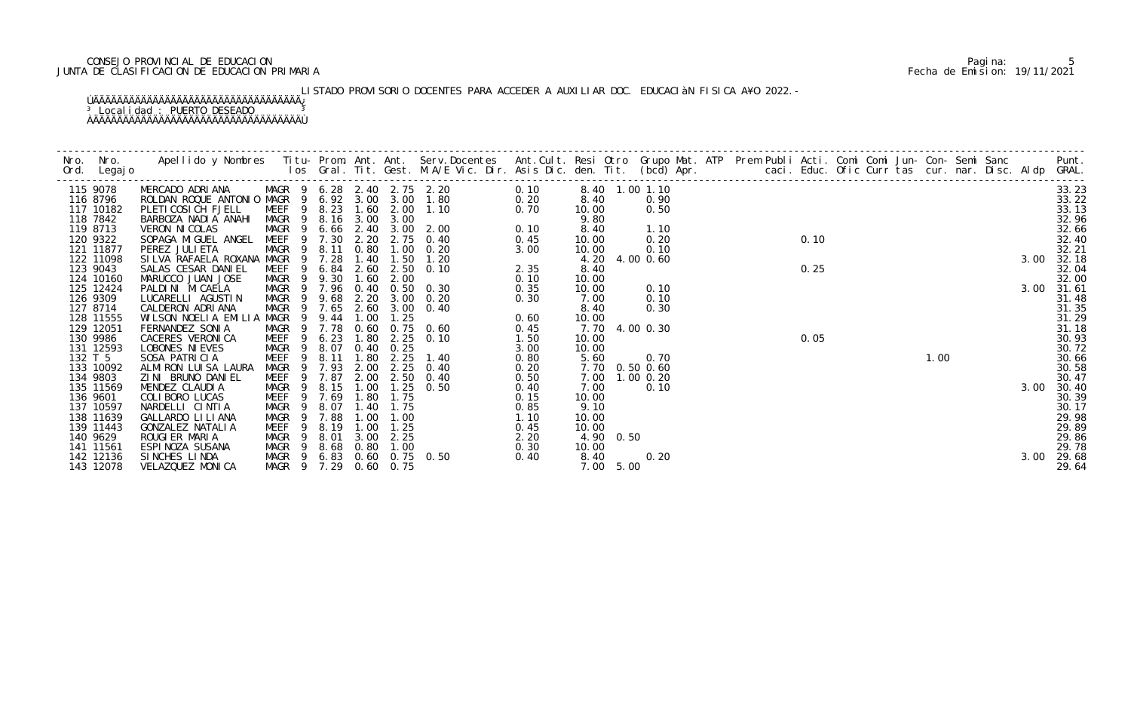## CONSEJO PROVINCIAL DE EDUCACION Pagina: 5 JUNTA DE CLASIFICACION DE EDUCACION PRIMARIA Fecha de Emision: 19/11/2021

# LISTADO PROVISORIO DOCENTES PARA ACCEDER A AUXILIAR DOC. EDUCACIàN FISICA A¥O 2022.-

|         | 115 9078               | MERCADO ADRIANA MAGR 9 6.28 2.40 2.75 2.20<br>ROLDAN ROQUE ANTONIO MAGR 9 6.92 3.00 3.00 1.80 |                            |                |       |              |           |                            | 0.10 |           | 8.40 1.00 1.10 |  | 0.10 |  |      |  |      | 33.23          |
|---------|------------------------|-----------------------------------------------------------------------------------------------|----------------------------|----------------|-------|--------------|-----------|----------------------------|------|-----------|----------------|--|------|--|------|--|------|----------------|
|         | 116 8796               |                                                                                               |                            |                |       |              |           | 0.20                       |      | 8.40      | 0.90           |  |      |  |      |  |      | 33.22          |
|         | 117 10182              | PLETI COSI CH FJELL                                                                           | MEEF 9 8.23 1.60 2.00 1.10 |                |       |              |           |                            |      | 10.00     | 0.50           |  |      |  |      |  |      | 33.13          |
|         | 118 7842               | BARBOZA NADIA ANAHI                                                                           | MAGR 9 8.16 3.00 3.00      |                |       |              |           | $0.70$<br>$0.10$           |      | 9.80      |                |  |      |  |      |  |      | 32.96          |
|         | 119 8713               | VERON NI COLAS                                                                                |                            |                |       |              |           | MAGR 9 6.66 2.40 3.00 2.00 |      | 8.40      | 1.10           |  |      |  |      |  |      | 32.66          |
|         | 120 9322               | SOPAGA MIGUEL ANGEL MEEF 9 7.30 2.20                                                          |                            |                |       |              |           | 2.75 0.40                  | 0.45 | 10.00     | 0.20           |  |      |  |      |  |      | 32.40          |
|         | 121 11877<br>122 11098 | PEREZ JULI ETA<br>SILVA RAFAELA ROXANA MAGR 9 7.28                                            | MAGR 9 8.11                |                |       | 0.80<br>1.40 | 1.50      | $1.00 \t 0.20$<br>1.20     | 3.00 | 10.00     | 0.10           |  |      |  |      |  | 3.00 | 32.21<br>32.18 |
|         | 123 9043               | SALAS CESAR DANIEL                                                                            | MEEF                       | 9              |       |              |           | 6.84 2.60 2.50 0.10        | 2.35 | 8.40      | 4.20 4.00 0.60 |  | 0.25 |  |      |  |      | 32.04          |
|         | 124 10160              | MARUCCO JUAN JOSE                                                                             | MAGR 9                     |                | 9.30  | 1.60         | 2.00      |                            | 0.10 | 10.00     |                |  |      |  |      |  |      | 32.00          |
|         | 125 12424              | PALDINI MICAELA                                                                               | MAGR 9 7.96 0.40 0.50 0.30 |                |       |              |           |                            | 0.35 | 10.00     | 0.10           |  |      |  |      |  | 3.00 | 31.61          |
|         | 126 9309               | LUCARELLI AGUSTIN                                                                             | MAGR 9 9.68                |                |       |              |           | 2.20 3.00 0.20             | 0.30 | 7.00      | 0.10           |  |      |  |      |  |      | 31.48          |
|         | 127 8714               | CALDERON ADRIANA                                                                              | MAGR 9                     |                | 7.65  | 2.60         |           | $3.00 \quad 0.40$          |      | 8.40      | 0.30           |  |      |  |      |  |      | 31.35          |
|         | 128 11555              | WILSON NOELIA EMILIA MAGR 9                                                                   |                            |                | 9.44  | 1.00         | 1.25      |                            | 0.60 | 10.00     |                |  |      |  |      |  |      | 31.29          |
|         | 129 12051              | FERNANDEZ SONIA                                                                               | MAGR 9 7.78                |                |       |              |           | 0.60 0.75 0.60             | 0.45 |           | 7.70 4.00 0.30 |  |      |  |      |  |      | 31.18          |
|         | 130 9986               | CACERES VERONICA                                                                              | MEEF                       | - 9            | 6.23  | 1.80         |           | 2.25 0.10                  | 1.50 | 10.00     |                |  | 0.05 |  |      |  |      | 30.93          |
|         | 131 12593              | LOBONES NI EVES                                                                               | MAGR                       | 9              | 8.07  |              | 0.40 0.25 |                            | 3.00 | 10.00     |                |  |      |  |      |  |      | 30.72          |
| 132 T 5 |                        | SOSA PATRICIA                                                                                 | MEEF                       | 9              | 8.11  | 1.80         |           | $2.25$ 1.40                | 0.80 | 5.60      | 0.70           |  |      |  | 1.00 |  |      | 30.66          |
|         | 133 10092              | ALMIRON LUISA LAURA                                                                           | MAGR 9 7.93                |                |       | 2.00         |           | $2.25$ 0.40                | 0.20 |           | 7.70 0.50 0.60 |  |      |  |      |  |      | 30.58          |
|         | 134 9803               | ZINI BRUNO DANIEL                                                                             | MEEF 9 7.87                |                |       |              |           | 2.00 2.50 0.40             | 0.50 |           | 7.00 1.00 0.20 |  |      |  |      |  |      | 30.47          |
|         | 135 11569              | MENDEZ CLAUDIA                                                                                | MAGR                       | 9              | 8.15  | 1.00         | 1.25      | 0.50                       | 0.40 | 7.00      | 0.10           |  |      |  |      |  | 3.00 | 30.40          |
|         | 136 9601               | COLIBORO LUCAS                                                                                | MEEF                       | $\overline{9}$ | 7.69  | 1.80         | 1.75      |                            | 0.15 | 10.00     |                |  |      |  |      |  |      | 30.39          |
|         | 137 10597              | NARDELLI CINTIA                                                                               | MAGR<br>- 9                |                | 8.07  | 1.40         | 1.75      |                            | 0.85 | 9.10      |                |  |      |  |      |  |      | 30.17          |
|         | 138 11639              | GALLARDO LI LI ANA                                                                            | MAGR                       | - 9            | 7.88  | 1.00         | 1.00      |                            | 1.10 | 10.00     |                |  |      |  |      |  |      | 29.98          |
|         | 139 11443              | GONZALEZ NATALIA                                                                              | MEEF                       | 9              | 8.19  | 1.00         | 1.25      |                            | 0.45 | 10.00     |                |  |      |  |      |  |      | 29.89          |
|         | 140 9629               | ROUGIER MARIA                                                                                 | MAGR<br>- 9                |                | 8. 01 | 3.00         | 2.25      |                            | 2.20 | 4.90 0.50 |                |  |      |  |      |  |      | 29.86          |
|         | 141 11561              | ESPINOZA SUSANA                                                                               | MAGR 9 8.68                |                |       | 0.80         | 1.00      |                            | 0.30 | 10.00     |                |  |      |  |      |  |      | 29.78          |
|         | 142 12136              | SINCHES LINDA                                                                                 | MAGR 9 6.83 0.60 0.75 0.50 |                |       |              |           |                            | 0.40 | 8.40      | 0.20           |  |      |  |      |  | 3.00 | 29.68          |
|         | 143 12078              | VELAZQUEZ MONICA                                                                              | MAGR 9 7.29 0.60 0.75      |                |       |              |           |                            |      | 7.00 5.00 |                |  |      |  |      |  |      | 29.64          |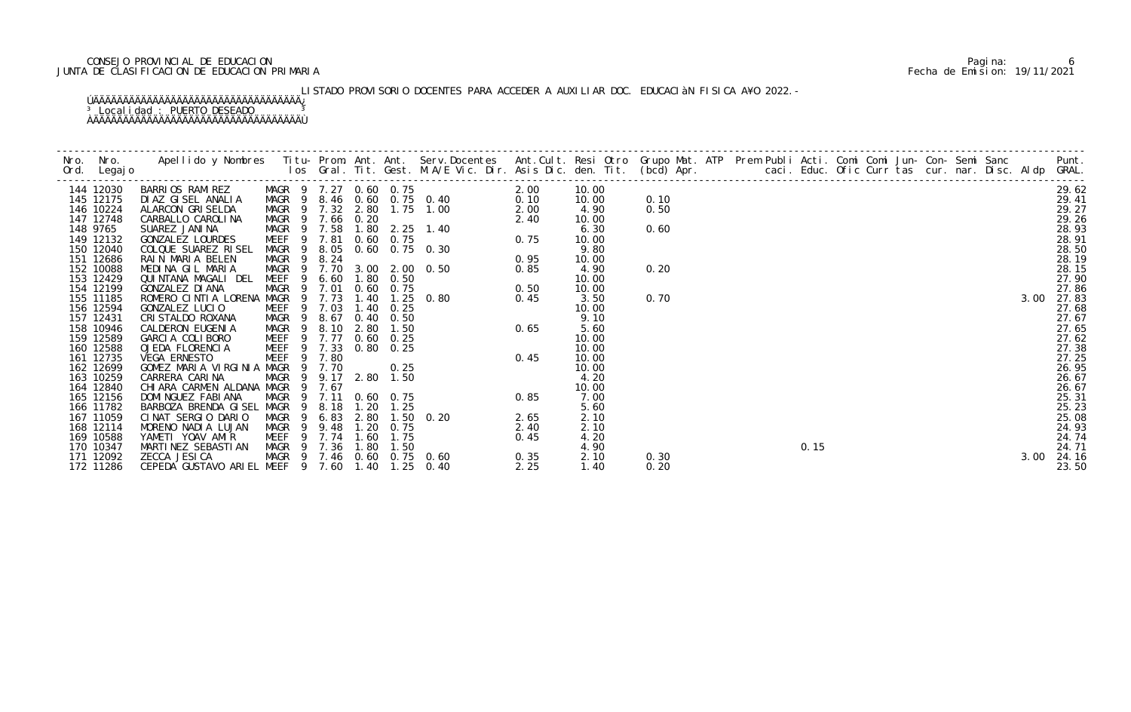## CONSEJO PROVINCIAL DE EDUCACION Pagina: 6 JUNTA DE CLASIFICACION DE EDUCACION PRIMARIA Fecha de Emision: 19/11/2021

# LISTADO PROVISORIO DOCENTES PARA ACCEDER A AUXILIAR DOC. EDUCACIÀN FISICA A¥O 2022.-

| 144 12030 | BARRIOS RAMIREZ MAGR 9 7.27 0.60 0.75           |  |  | 105 Grafi. 11 t. Gest. M.A/E Vic. Dir. Asis D<br>MAGR 9 7.27 0.60 0.75 0.40<br>MAGR 9 7.32 2.80 1.75 1.00 0.120<br>MAGR 9 7.52 2.80 1.75 1.00 0.200<br>MAGR 9 7.58 1.80 2.25 1.40 0.75 0.30<br>MAGR 9 7.58 1.60 0.75 0.30 0.95<br>MAGR 9 8 |      | 10.00 |      |  |  |  |  |  |      |       |
|-----------|-------------------------------------------------|--|--|--------------------------------------------------------------------------------------------------------------------------------------------------------------------------------------------------------------------------------------------|------|-------|------|--|--|--|--|--|------|-------|
| 145 12175 | DIAZ GISEL ANALIA                               |  |  |                                                                                                                                                                                                                                            |      | 10.00 | 0.10 |  |  |  |  |  |      |       |
| 146 10224 | ALARCON GRISELDA                                |  |  |                                                                                                                                                                                                                                            |      | 4.90  | 0.50 |  |  |  |  |  |      |       |
| 147 12748 | CARBALLO CAROLINA                               |  |  |                                                                                                                                                                                                                                            |      | 10.00 |      |  |  |  |  |  |      |       |
| 148 9765  | SUAREZ JANINA                                   |  |  |                                                                                                                                                                                                                                            |      | 6.30  | 0.60 |  |  |  |  |  |      |       |
| 149 12132 | GONZALEZ LOURDES                                |  |  |                                                                                                                                                                                                                                            |      | 10.00 |      |  |  |  |  |  |      |       |
| 150 12040 | COLQUE SUAREZ RISEL                             |  |  |                                                                                                                                                                                                                                            |      | 9.80  |      |  |  |  |  |  |      |       |
| 151 12686 | RAIN MARIA BELEN                                |  |  |                                                                                                                                                                                                                                            |      | 10.00 |      |  |  |  |  |  |      |       |
| 152 10088 | MEDINA GIL MARIA                                |  |  |                                                                                                                                                                                                                                            |      | 4.90  | 0.20 |  |  |  |  |  |      |       |
| 153 12429 | QUINTANA MAGALI DEL                             |  |  |                                                                                                                                                                                                                                            |      | 10.00 |      |  |  |  |  |  |      |       |
| 154 12199 | GONZALEZ DI ANA                                 |  |  |                                                                                                                                                                                                                                            |      | 10.00 |      |  |  |  |  |  |      |       |
| 155 11185 | ROMERO CINTIA LORENA MAGR 9 7.73                |  |  |                                                                                                                                                                                                                                            |      | 3.50  | 0.70 |  |  |  |  |  |      |       |
| 156 12594 | GONZALEZ LUCIO                                  |  |  |                                                                                                                                                                                                                                            |      | 10.00 |      |  |  |  |  |  |      |       |
| 157 12431 | CRI STALDO ROXANA                               |  |  |                                                                                                                                                                                                                                            |      | 9.10  |      |  |  |  |  |  |      |       |
| 158 10946 | CALDERON EUGENIA                                |  |  |                                                                                                                                                                                                                                            |      | 5.60  |      |  |  |  |  |  |      |       |
| 159 12589 | GARCIA COLIBORO                                 |  |  |                                                                                                                                                                                                                                            |      | 10.00 |      |  |  |  |  |  |      |       |
| 160 12588 | OJEDA FLORENCIA                                 |  |  |                                                                                                                                                                                                                                            |      | 10.00 |      |  |  |  |  |  |      |       |
| 161 12735 | VEGA ERNESTO                                    |  |  |                                                                                                                                                                                                                                            |      | 10.00 |      |  |  |  |  |  |      |       |
| 162 12699 | GOMEZ MARIA VIRGINIA MAGR 9 7.70                |  |  |                                                                                                                                                                                                                                            |      | 10.00 |      |  |  |  |  |  |      |       |
| 163 10259 | CARRERA CARINA                                  |  |  |                                                                                                                                                                                                                                            |      | 4.20  |      |  |  |  |  |  |      |       |
| 164 12840 | CHIARA CARMEN ALDANA MAGR                       |  |  |                                                                                                                                                                                                                                            |      | 10.00 |      |  |  |  |  |  |      |       |
| 165 12156 | DOMI NGUEZ FABI ANA                             |  |  |                                                                                                                                                                                                                                            |      | 7.00  |      |  |  |  |  |  |      |       |
| 166 11782 | BARBOZA BRENDA GISEL MAGR 9                     |  |  |                                                                                                                                                                                                                                            |      | 5.60  |      |  |  |  |  |  |      |       |
| 167 11059 | CINAT SERGIO DARIO                              |  |  |                                                                                                                                                                                                                                            |      | 2.10  |      |  |  |  |  |  |      |       |
| 168 12114 | MORENO NADIA LUJAN                              |  |  |                                                                                                                                                                                                                                            |      | 2.10  |      |  |  |  |  |  |      |       |
| 169 10588 | YAMETI YOAV AMIR                                |  |  |                                                                                                                                                                                                                                            |      | 4.20  |      |  |  |  |  |  |      |       |
| 170 10347 | MARTINEZ SEBASTIAN                              |  |  |                                                                                                                                                                                                                                            |      | 4.90  |      |  |  |  |  |  |      |       |
| 171 12092 | ZECCA JESI CA                                   |  |  |                                                                                                                                                                                                                                            |      | 2.10  | 0.30 |  |  |  |  |  | 3.00 | 24.16 |
| 172 11286 | CEPEDA GUSTAVO ARIEL MEEF 9 7.60 1.40 1.25 0.40 |  |  |                                                                                                                                                                                                                                            | 2.25 | 1.40  | 0.20 |  |  |  |  |  |      | 23.50 |